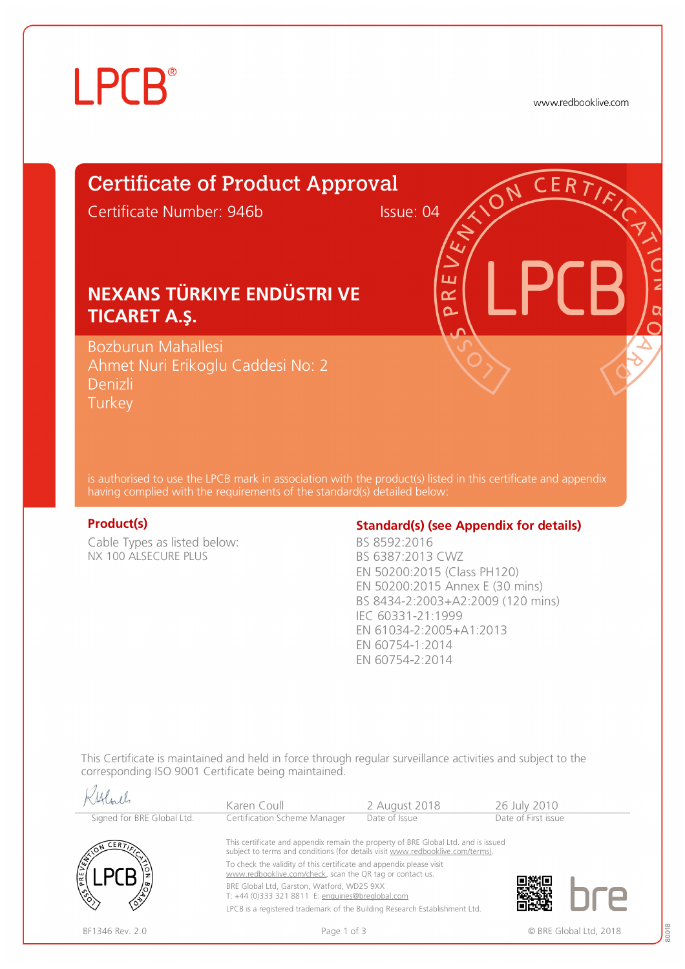# **LPCB**®

www.redbooklive.com

## Certificate of Product Approval

Certificate Number: 946b Issue: 04

ய œ  $\overline{\Omega}$ 

## **NEXANS TÜRKIYE ENDÜSTRI VE TICARET A.Ş.**

Bozburun Mahallesi Ahmet Nuri Erikoglu Caddesi No: 2 Denizli **Turkey** 

is authorised to use the LPCB mark in association with the product(s) listed in this certificate and appendix having complied with the requirements of the standard(s) detailed below:

 $11.0$ 

Cable Types as listed below: NX 100 ALSECURE PLUS

### **Product(s) Conserversity Standard(s)** (see Appendix for details)

BS 8592:2016 BS 6387:2013 CWZ EN 50200:2015 (Class PH120) EN 50200:2015 Annex E (30 mins) BS 8434-2:2003+A2:2009 (120 mins) IEC 60331-21:1999 EN 61034-2:2005+A1:2013 EN 60754-1:2014 EN 60754-2:2014

This Certificate is maintained and held in force through regular surveillance activities and subject to the corresponding ISO 9001 Certificate being maintained.

|                            | Karen Coull                                                                                                                                                          | 2 August 2018 | 26 July 2010           |  |  |  |  |
|----------------------------|----------------------------------------------------------------------------------------------------------------------------------------------------------------------|---------------|------------------------|--|--|--|--|
| Signed for BRE Global Ltd. | Certification Scheme Manager                                                                                                                                         | Date of Issue | Date of First issue    |  |  |  |  |
| CERT                       | This certificate and appendix remain the property of BRE Global Ltd. and is issued<br>subject to terms and conditions (for details visit www.redbooklive.com/terms). |               |                        |  |  |  |  |
| PREVE                      | To check the validity of this certificate and appendix please visit<br>www.redbooklive.com/check, scan the QR tag or contact us.                                     |               |                        |  |  |  |  |
| $\hat{\mathcal{C}}$        | BRE Global Ltd, Garston, Watford, WD25 9XX<br>T: +44 (0)333 321 8811 E: enquiries@breglobal.com                                                                      |               |                        |  |  |  |  |
|                            | LPCB is a registered trademark of the Building Research Establishment Ltd.                                                                                           |               |                        |  |  |  |  |
| BF1346 Rev. 2.0            | Page 1 of 3                                                                                                                                                          |               | © BRE Global Ltd. 2018 |  |  |  |  |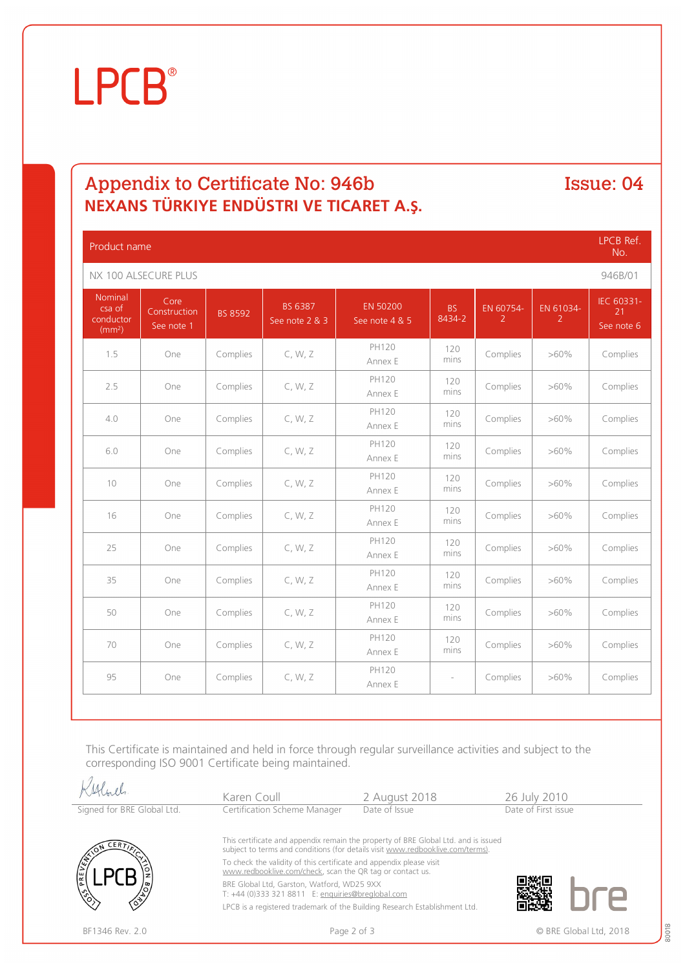# **LPCB**®

## Appendix to Certificate No: 946b Issue: 04 **NEXANS TÜRKIYE ENDÜSTRI VE TICARET A.Ş.**

| Product name                                         |                                    |                |                           |                            |                          | LPCB Ref.<br>No.            |                |                                |
|------------------------------------------------------|------------------------------------|----------------|---------------------------|----------------------------|--------------------------|-----------------------------|----------------|--------------------------------|
| NX 100 ALSECURE PLUS                                 |                                    |                |                           |                            |                          |                             | 946B/01        |                                |
| Nominal<br>csa of<br>conductor<br>(mm <sup>2</sup> ) | Core<br>Construction<br>See note 1 | <b>BS 8592</b> | BS 6387<br>See note 2 & 3 | EN 50200<br>See note 4 & 5 | <b>BS</b><br>8434-2      | EN 60754-<br>$\overline{2}$ | EN 61034-<br>2 | IEC 60331-<br>21<br>See note 6 |
| 1.5                                                  | One                                | Complies       | C, W, Z                   | PH120<br>Annex E           | 120<br>mins              | Complies                    | $>60\%$        | Complies                       |
| 2.5                                                  | One                                | Complies       | C, W, Z                   | PH120<br>Annex E           | 120<br>mins              | Complies                    | $>60\%$        | Complies                       |
| 4.0                                                  | One                                | Complies       | C, W, Z                   | PH120<br>Annex E           | 120<br>mins              | Complies                    | $>60\%$        | Complies                       |
| 6.0                                                  | One                                | Complies       | C, W, Z                   | PH120<br>Annex E           | 120<br>mins              | Complies                    | $>60\%$        | Complies                       |
| 10                                                   | One                                | Complies       | C, W, Z                   | PH120<br>Annex E           | 120<br>mins              | Complies                    | $>60\%$        | Complies                       |
| 16                                                   | One                                | Complies       | C, W, Z                   | PH120<br>Annex E           | 120<br>mins              | Complies                    | $>60\%$        | Complies                       |
| 25                                                   | One                                | Complies       | C, W, Z                   | PH120<br>Annex E           | 120<br>mins              | Complies                    | $>60\%$        | Complies                       |
| 35                                                   | One                                | Complies       | C, W, Z                   | PH120<br>Annex E           | 120<br>mins              | Complies                    | $>60\%$        | Complies                       |
| 50                                                   | One                                | Complies       | C, W, Z                   | PH120<br>Annex E           | 120<br>mins              | Complies                    | $>60\%$        | Complies                       |
| 70                                                   | One                                | Complies       | C, W, Z                   | PH120<br>Annex E           | 120<br>mins              | Complies                    | $>60\%$        | Complies                       |
| 95                                                   | One                                | Complies       | C, W, Z                   | PH120<br>Annex E           | $\overline{\phantom{a}}$ | Complies                    | $>60\%$        | Complies                       |

This Certificate is maintained and held in force through regular surveillance activities and subject to the corresponding ISO 9001 Certificate being maintained.

|                            | Karen Coull                                                                                                                                                                   | 2 August 2018 | 26 July 2010        |  |  |  |  |
|----------------------------|-------------------------------------------------------------------------------------------------------------------------------------------------------------------------------|---------------|---------------------|--|--|--|--|
| Signed for BRE Global Ltd. | Certification Scheme Manager                                                                                                                                                  | Date of Issue | Date of First issue |  |  |  |  |
| $CER$ $\overline{r}$       | This certificate and appendix remain the property of BRE Global Ltd. and is issued<br>subject to terms and conditions (for details visit www.redbooklive.com/terms).          |               |                     |  |  |  |  |
| PREV                       | To check the validity of this certificate and appendix please visit<br>www.redbooklive.com/check, scan the QR tag or contact us.                                              |               |                     |  |  |  |  |
|                            | BRE Global Ltd, Garston, Watford, WD25 9XX<br>T: +44 (0)333 321 8811 E: enquiries@breglobal.com<br>LPCB is a registered trademark of the Building Research Establishment Ltd. |               |                     |  |  |  |  |
|                            |                                                                                                                                                                               |               |                     |  |  |  |  |

BF1346 Rev. 2.0 **Page 2 of 3** Page 2 of 3 **CONFINGUARY CONFINENT** CONFIDENTIAL REGIONAL Ltd, 2018

80018